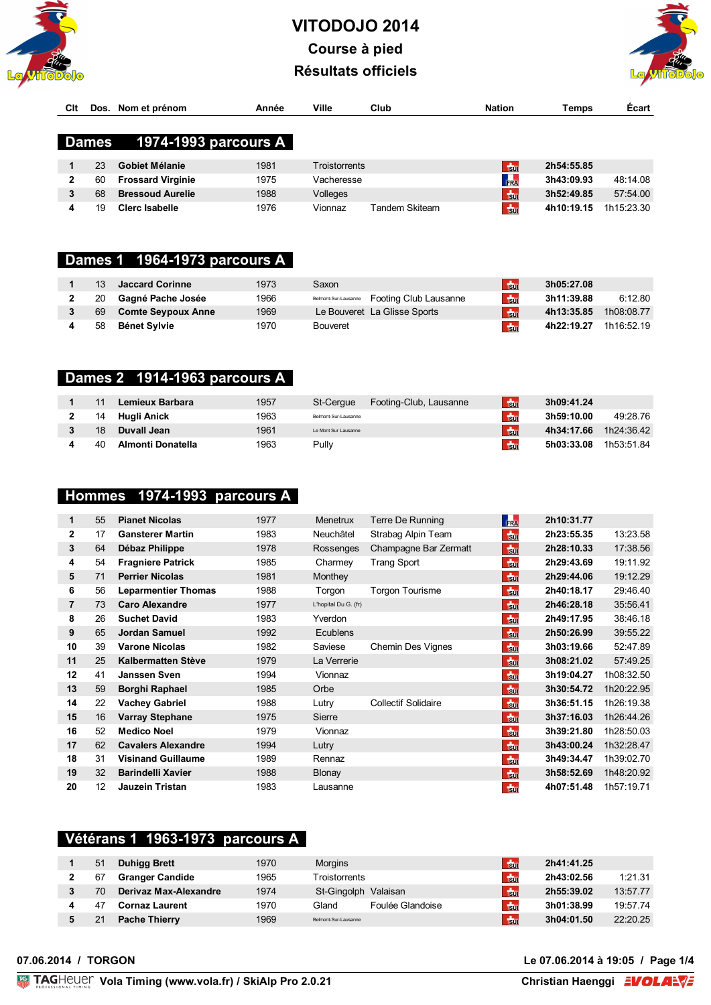



| Cit |       | Dos. Nom et prénom       | Année | Ville         | Club | <b>Nation</b>  | Temps      | <b>Écart</b> |
|-----|-------|--------------------------|-------|---------------|------|----------------|------------|--------------|
|     |       |                          |       |               |      |                |            |              |
|     | Dames | 1974-1993 parcours A     |       |               |      |                |            |              |
|     |       |                          |       |               |      |                |            |              |
|     | 23    | Gobiet Mélanie           | 1981  | Troistorrents |      | $\frac{1}{30}$ | 2h54:55.85 |              |
|     | 60    | <b>Frossard Virginie</b> | 1975  | Vacheresse    |      | FRA            | 3h43:09.93 | 48:14.08     |
|     | 68    | <b>Bressoud Aurelie</b>  | 1988  | Volleges      |      | Sui            | 3h52:49.85 | 57:54.00     |

19 **Clerc Isabelle** 1976 Vionnaz Tandem Skiteam **Suidem State 19 16:19.15** 1h15:23.30

#### **Dames 1 1964-1973 parcours A**

| 13 | Jaccard Corinne           | 1973 | Saxon                                       | $F_{\rm Sun}$ | 3h05:27.08 |            |
|----|---------------------------|------|---------------------------------------------|---------------|------------|------------|
| 20 | Gagné Pache Josée         | 1966 | Belmont-Sur-Lausanne  Footing Club Lausanne | $+50$         | 3h11:39.88 | 6:12.80    |
| 69 | <b>Comte Seypoux Anne</b> | 1969 | Le Bouveret La Glisse Sports                | $\frac{1}{2}$ | 4h13:35.85 | 1h08:08.77 |
| 58 | Bénet Svlvie              | 1970 | <b>Bouveret</b>                             | $5$           | 4h22:19.27 | 1h16:52.19 |

# **Dames 2 1914-1963 parcours A**

|    | Lemieux Barbara   | 1957 | St-Ceraue            | Footing-Club, Lausanne | 50 <sub>1</sub> | 3h09:41.24 |            |
|----|-------------------|------|----------------------|------------------------|-----------------|------------|------------|
| 14 | Huali Anick       | 1963 | Belmont-Sur-Lausanne |                        | $5$             | 3h59:10.00 | 49:28.76   |
| 18 | Duvall Jean       | 1961 | Le Mont Sur Lausanne |                        | <b>Tau</b>      | 4h34:17.66 | 1h24:36.42 |
| 40 | Almonti Donatella | 1963 | Pullv                |                        | $t_{\rm BH}$    | 5h03:33.08 | 1h53:51.84 |

## **Hommes 1974-1993 parcours A**

| 1              | 55 | <b>Pianet Nicolas</b>      | 1977 | Menetrux             | Terre De Running           | <b>FRA</b>     | 2h10:31.77 |            |
|----------------|----|----------------------------|------|----------------------|----------------------------|----------------|------------|------------|
| $\mathbf{2}$   | 17 | <b>Gansterer Martin</b>    | 1983 | Neuchâtel            | Strabag Alpin Team         | $t_{\rm BH}$   | 2h23:55.35 | 13:23.58   |
| 3              | 64 | Débaz Philippe             | 1978 | Rossenges            | Champagne Bar Zermatt      | $\frac{1}{30}$ | 2h28:10.33 | 17:38.56   |
| 4              | 54 | <b>Fragniere Patrick</b>   | 1985 | Charmey              | <b>Trang Sport</b>         | $t_{\rm BH}$   | 2h29:43.69 | 19:11.92   |
| 5              | 71 | <b>Perrier Nicolas</b>     | 1981 | Monthey              |                            | $F_{\rm BH}$   | 2h29:44.06 | 19:12.29   |
| 6              | 56 | <b>Leparmentier Thomas</b> | 1988 | Torgon               | <b>Torgon Tourisme</b>     | $\frac{1}{30}$ | 2h40:18.17 | 29:46.40   |
| $\overline{7}$ | 73 | <b>Caro Alexandre</b>      | 1977 | L'hopital Du G. (fr) |                            | $\frac{1}{30}$ | 2h46:28.18 | 35:56.41   |
| 8              | 26 | <b>Suchet David</b>        | 1983 | Yverdon              |                            | $\frac{1}{30}$ | 2h49:17.95 | 38:46.18   |
| 9              | 65 | <b>Jordan Samuel</b>       | 1992 | <b>Ecublens</b>      |                            | $\frac{1}{30}$ | 2h50:26.99 | 39:55.22   |
| 10             | 39 | <b>Varone Nicolas</b>      | 1982 | Saviese              | Chemin Des Vignes          | $\frac{1}{30}$ | 3h03:19.66 | 52:47.89   |
| 11             | 25 | <b>Kalbermatten Stève</b>  | 1979 | La Verrerie          |                            | $+50$          | 3h08:21.02 | 57:49.25   |
| 12             | 41 | Janssen Sven               | 1994 | Vionnaz              |                            | $50$           | 3h19:04.27 | 1h08:32.50 |
| 13             | 59 | Borghi Raphael             | 1985 | Orbe                 |                            | $F_{\rm BH}$   | 3h30:54.72 | 1h20:22.95 |
| 14             | 22 | <b>Vachey Gabriel</b>      | 1988 | Lutry                | <b>Collectif Solidaire</b> | $t_{\rm BH}$   | 3h36:51.15 | 1h26:19.38 |
| 15             | 16 | <b>Varray Stephane</b>     | 1975 | Sierre               |                            | $\frac{1}{30}$ | 3h37:16.03 | 1h26:44.26 |
| 16             | 52 | <b>Medico Noel</b>         | 1979 | Vionnaz              |                            | $\frac{1}{30}$ | 3h39:21.80 | 1h28:50.03 |
| 17             | 62 | <b>Cavalers Alexandre</b>  | 1994 | Lutry                |                            | $+10$          | 3h43:00.24 | 1h32:28.47 |
| 18             | 31 | <b>Visinand Guillaume</b>  | 1989 | Rennaz               |                            | $\frac{1}{30}$ | 3h49:34.47 | 1h39:02.70 |
| 19             | 32 | <b>Barindelli Xavier</b>   | 1988 | <b>Blonay</b>        |                            | $F_{\rm SM}$   | 3h58:52.69 | 1h48:20.92 |
| 20             | 12 | Jauzein Tristan            | 1983 | Lausanne             |                            | $5$            | 4h07:51.48 | 1h57:19.71 |

#### **Vétérans 1 1963-1973 parcours A**

| 51 | <b>Duhigg Brett</b>    | 1970 | <b>Morgins</b>            | $\frac{1}{2}$ | 2h41:41.25 |          |
|----|------------------------|------|---------------------------|---------------|------------|----------|
| 67 | <b>Granger Candide</b> | 1965 | Troistorrents             | $\frac{1}{2}$ | 2h43:02.56 | 1:21.31  |
| 70 | Derivaz Max-Alexandre  | 1974 | St-Gingolph Valaisan      | b             | 2h55:39.02 | 13:57.77 |
|    | <b>Cornaz Laurent</b>  | 1970 | Foulée Glandoise<br>Gland | 150           | 3h01:38.99 | 19:57.74 |
|    | <b>Pache Thierry</b>   | 1969 | Belmont-Sur-Lausanne      | $\frac{1}{2}$ | 3h04:01.50 | 22:20.25 |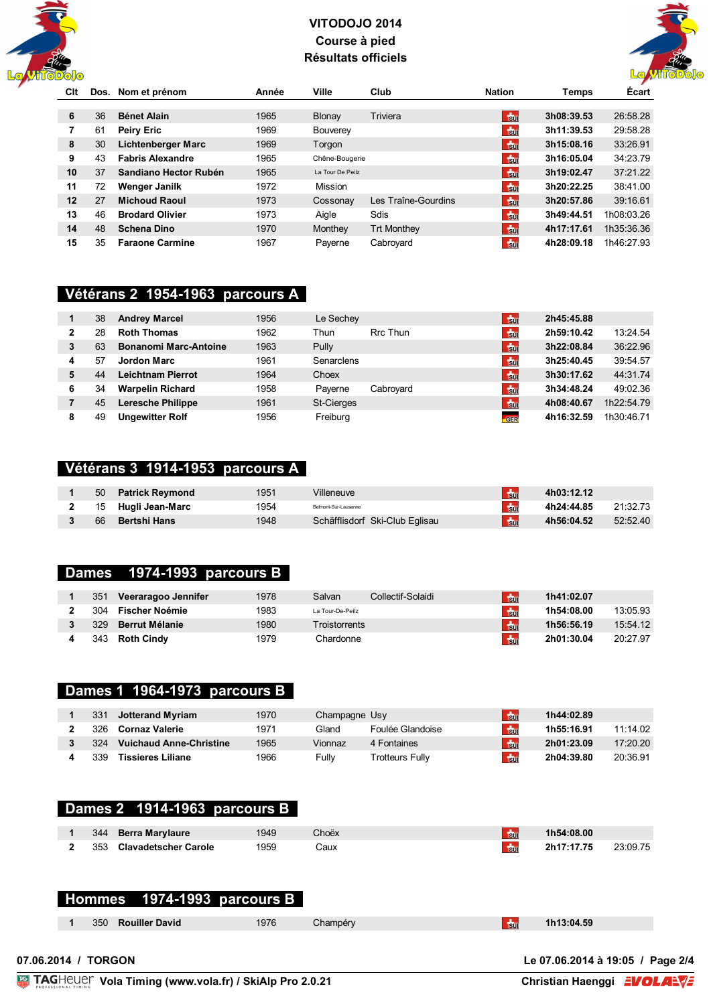



| Clt |    | Dos. Nom et prénom        | Année | Ville            | Club                | <b>Nation</b>  | Temps      | <b>Ecart</b> |
|-----|----|---------------------------|-------|------------------|---------------------|----------------|------------|--------------|
|     |    |                           |       |                  |                     |                |            |              |
| 6   | 36 | <b>Bénet Alain</b>        | 1965  | Blonay           | Triviera            | $\frac{1}{3}$  | 3h08:39.53 | 26:58.28     |
| 7   | 61 | <b>Peiry Eric</b>         | 1969  | <b>Bouverey</b>  |                     | $50$           | 3h11:39.53 | 29:58.28     |
| 8   | 30 | <b>Lichtenberger Marc</b> | 1969  | Torgon           |                     | $\frac{1}{3}$  | 3h15:08.16 | 33:26.91     |
| 9   | 43 | <b>Fabris Alexandre</b>   | 1965  | Chêne-Bougerie   |                     | $50$           | 3h16:05.04 | 34:23.79     |
| 10  | 37 | Sandiano Hector Rubén     | 1965  | La Tour De Peilz |                     | $\frac{1}{3}$  | 3h19:02.47 | 37:21.22     |
| 11  | 72 | <b>Wenger Janilk</b>      | 1972  | <b>Mission</b>   |                     | $\frac{1}{30}$ | 3h20:22.25 | 38:41.00     |
| 12  | 27 | <b>Michoud Raoul</b>      | 1973  | Cossonay         | Les Traîne-Gourdins | $\frac{1}{3}$  | 3h20:57.86 | 39:16.61     |
| 13  | 46 | <b>Brodard Olivier</b>    | 1973  | Aiale            | Sdis                | $50$           | 3h49:44.51 | 1h08:03.26   |
| 14  | 48 | <b>Schena Dino</b>        | 1970  | Monthey          | <b>Trt Monthey</b>  | <b>Sul</b>     | 4h17:17.61 | 1h35:36.36   |
| 15  | 35 | <b>Faraone Carmine</b>    | 1967  | Paverne          | Cabrovard           | $t_{\rm{Jup}}$ | 4h28:09.18 | 1h46:27.93   |

#### **Vétérans 2 1954-1963 parcours A**

|   | 38 | <b>Andrey Marcel</b>         | 1956 | Le Sechey         |           | $\frac{1}{30}$ | 2h45:45.88 |            |
|---|----|------------------------------|------|-------------------|-----------|----------------|------------|------------|
|   | 28 | <b>Roth Thomas</b>           | 1962 | Thun              | Rrc Thun  | $\frac{1}{30}$ | 2h59:10.42 | 13:24.54   |
| 3 | 63 | <b>Bonanomi Marc-Antoine</b> | 1963 | Pully             |           | $+50$          | 3h22:08.84 | 36:22.96   |
| 4 | 57 | <b>Jordon Marc</b>           | 1961 | Senarclens        |           | $\frac{1}{30}$ | 3h25:40.45 | 39:54.57   |
| 5 | 44 | <b>Leichtnam Pierrot</b>     | 1964 | Choex             |           | $\frac{1}{30}$ | 3h30:17.62 | 44:31.74   |
| 6 | 34 | <b>Warpelin Richard</b>      | 1958 | Paverne           | Cabroyard | $\frac{1}{30}$ | 3h34:48.24 | 49:02.36   |
|   | 45 | <b>Leresche Philippe</b>     | 1961 | <b>St-Cierges</b> |           | $\frac{1}{20}$ | 4h08:40.67 | 1h22:54.79 |
| 8 | 49 | <b>Ungewitter Rolf</b>       | 1956 | Freiburg          |           | GER            | 4h16:32.59 | 1h30:46.71 |

#### **Vétérans 3 1914-1953 parcours A**

| 50 | Patrick Revmond    | 1951 | Villeneuve                     | <b>Bu</b>  | 4h03:12.12 |          |
|----|--------------------|------|--------------------------------|------------|------------|----------|
|    | 15 Hugli Jean-Marc | 1954 | Belmont-Sur-Lausanne           | <b>Sul</b> | 4h24:44.85 | 21:32.73 |
| 66 | Bertshi Hans       | 1948 | Schäfflisdorf Ski-Club Eqlisau | <b>Sul</b> | 4h56:04.52 | 52:52.40 |

#### **Dames 1974-1993 parcours B**

| 351 | Veeraragoo Jennifer   | 1978 | Salvan           | Collectif-Solaidi | $t_{\rm{SM}}$ | 1h41:02.07 |          |
|-----|-----------------------|------|------------------|-------------------|---------------|------------|----------|
| 304 | <b>Fischer Noémie</b> | 1983 | La Tour-De-Peilz |                   | $t_{\rm{BH}}$ | 1h54:08.00 | 13:05.93 |
| 329 | <b>Berrut Mélanie</b> | 1980 | Troistorrents    |                   | <b>Faul</b>   | 1h56:56.19 | 15:54.12 |
| 343 | <b>Roth Cindy</b>     | 1979 | Chardonne        |                   | $\frac{1}{2}$ | 2h01:30.04 | 20:27.97 |

#### **Dames 1 1964-1973 parcours B**

| 331 | <b>Jotterand Myriam</b>        | 1970 | Champagne Usy |                  | $t_{\rm{tot}}$ | 1h44:02.89 |          |
|-----|--------------------------------|------|---------------|------------------|----------------|------------|----------|
| 326 | Cornaz Valerie                 | 1971 | Gland         | Foulée Glandoise | $t_{\rm BH}$   | 1h55:16.91 | 11:14.02 |
| 324 | <b>Vuichaud Anne-Christine</b> | 1965 | Vionnaz       | 4 Fontaines      | $\frac{1}{30}$ | 2h01:23.09 | 17:20.20 |
| 339 | <b>Tissieres Liliane</b>       | 1966 | Fullv         | Trotteurs Fullv  | $t_{\rm BH}$   | 2h04:39.80 | 20:36.91 |

|     | Dames 2 1914-1963 parcours B |      |       |               |            |  |
|-----|------------------------------|------|-------|---------------|------------|--|
|     | 344 Berra Marylaure          | 1949 | Choëx | $\frac{1}{2}$ | 1h54:08.00 |  |
| 353 | Clavadetscher Carole         | 1959 | Caux  | <b>Su</b>     | 2h17:17.75 |  |

## **Hommes 1974-1993 parcours B**

350 **Rouiller David** 1976 Champéry Suite 1976 Champéry Suite 11, 1613:04.59

**07.06.2014 / TORGON Le 07.06.2014 à 19:05 / Page 2/4**

Christian Haenggi **EVOLAE**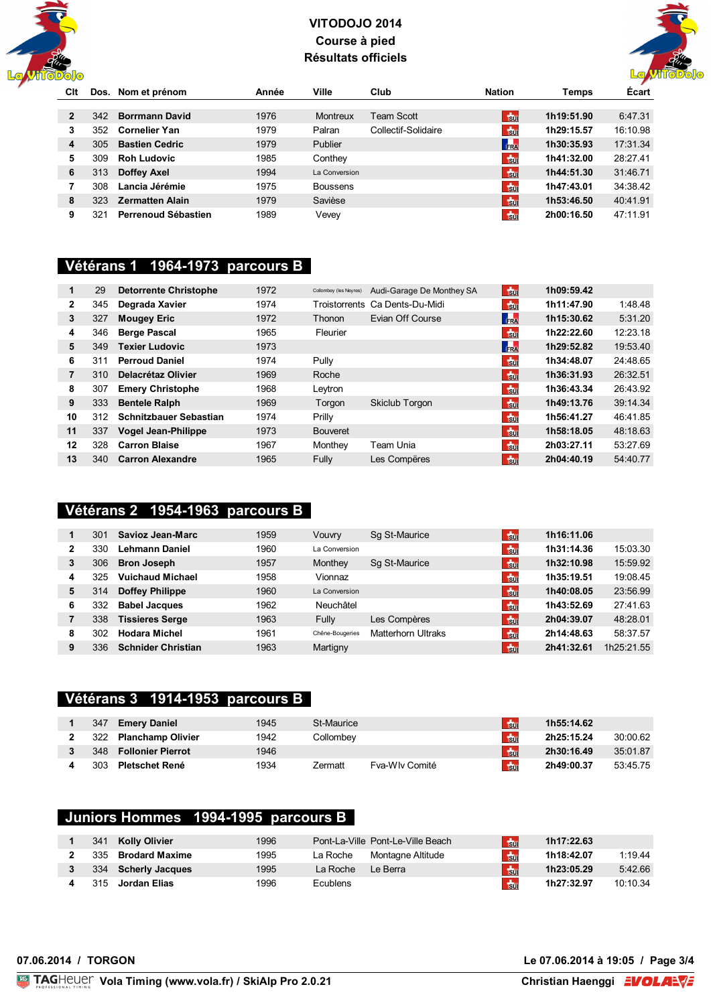



| Clt |      | Dos. Nom et prénom     | Année | Ville           | Club                | <b>Nation</b>  | Temps      | <b>Ecart</b> |
|-----|------|------------------------|-------|-----------------|---------------------|----------------|------------|--------------|
|     |      |                        |       |                 |                     |                |            |              |
|     | 342  | <b>Borrmann David</b>  | 1976  | Montreux        | Team Scott          | $\frac{1}{3}$  | 1h19:51.90 | 6:47.31      |
| 3   | 352  | <b>Cornelier Yan</b>   | 1979  | Palran          | Collectif-Solidaire | $t_{\rm 50}$   | 1h29:15.57 | 16:10.98     |
| 4   | 305  | <b>Bastien Cedric</b>  | 1979  | Publier         |                     | FRA            | 1h30:35.93 | 17:31.34     |
| 5   | 309. | <b>Roh Ludovic</b>     | 1985  | Conthey         |                     | $\frac{1}{30}$ | 1h41:32.00 | 28:27.41     |
| 6   | 313  | Doffey Axel            | 1994  | La Conversion   |                     | $\frac{1}{3}$  | 1h44:51.30 | 31:46.71     |
|     | 308  | Lancia Jérémie         | 1975  | <b>Boussens</b> |                     | $\frac{1}{2}$  | 1h47:43.01 | 34:38.42     |
| 8   | 323  | <b>Zermatten Alain</b> | 1979  | Savièse         |                     | $\frac{1}{3}$  | 1h53:46.50 | 40:41.91     |
| 9   | 321  | Perrenoud Sébastien    | 1989  | Vevey           |                     | $\frac{1}{20}$ | 2h00:16.50 | 47:11.91     |

#### **Vétérans 1 1964-1973 parcours B**

| 1              | 29  | <b>Detorrente Christophe</b>  | 1972 | Collombey (les Neyres) | Audi-Garage De Monthey SA      | $+50$           | 1h09:59.42 |          |
|----------------|-----|-------------------------------|------|------------------------|--------------------------------|-----------------|------------|----------|
| $\overline{2}$ | 345 | Degrada Xavier                | 1974 |                        | Troistorrents Ca Dents-Du-Midi | $\frac{1}{300}$ | 1h11:47.90 | 1:48.48  |
| 3              | 327 | <b>Mougey Eric</b>            | 1972 | Thonon                 | Evian Off Course               | FRA             | 1h15:30.62 | 5:31.20  |
| 4              | 346 | <b>Berge Pascal</b>           | 1965 | Fleurier               |                                | $\frac{1}{2}$   | 1h22:22.60 | 12:23.18 |
| 5              | 349 | <b>Texier Ludovic</b>         | 1973 |                        |                                | FRA             | 1h29:52.82 | 19:53.40 |
| 6              | 311 | <b>Perroud Daniel</b>         | 1974 | Pully                  |                                | $\frac{1}{2}$   | 1h34:48.07 | 24:48.65 |
| 7              | 310 | Delacrétaz Olivier            | 1969 | Roche                  |                                | $F_{\rm BH}$    | 1h36:31.93 | 26:32.51 |
| 8              | 307 | <b>Emery Christophe</b>       | 1968 | Leytron                |                                | $t_{\rm 50}$    | 1h36:43.34 | 26:43.92 |
| 9              | 333 | <b>Bentele Ralph</b>          | 1969 | Torgon                 | Skiclub Torgon                 | $+50$           | 1h49:13.76 | 39:14.34 |
| 10             | 312 | <b>Schnitzbauer Sebastian</b> | 1974 | Prilly                 |                                | $\frac{1}{30}$  | 1h56:41.27 | 46:41.85 |
| 11             | 337 | <b>Vogel Jean-Philippe</b>    | 1973 | <b>Bouveret</b>        |                                | $+50$           | 1h58:18.05 | 48:18.63 |
| 12             | 328 | <b>Carron Blaise</b>          | 1967 | Monthey                | Team Unia                      | $\frac{1}{30}$  | 2h03:27.11 | 53:27.69 |
| 13             | 340 | <b>Carron Alexandre</b>       | 1965 | Fully                  | Les Compëres                   | $\frac{1}{2}$   | 2h04:40.19 | 54:40.77 |

#### **Vétérans 2 1954-1963 parcours B**

|   | 301 | Savioz Jean-Marc          | 1959 | Vouvry          | Sq St-Maurice             | <b>Su</b>      | 1h16:11.06 |            |
|---|-----|---------------------------|------|-----------------|---------------------------|----------------|------------|------------|
| 2 | 330 | Lehmann Daniel            | 1960 | La Conversion   |                           | $50$           | 1h31:14.36 | 15:03.30   |
| 3 | 306 | <b>Bron Joseph</b>        | 1957 | Monthey         | Sq St-Maurice             | <b>Tsur</b>    | 1h32:10.98 | 15:59.92   |
| 4 | 325 | <b>Vuichaud Michael</b>   | 1958 | Vionnaz         |                           | $t_{\rm{BH}}$  | 1h35:19.51 | 19:08.45   |
| 5 | 314 | <b>Doffey Philippe</b>    | 1960 | La Conversion   |                           | $\frac{1}{30}$ | 1h40:08.05 | 23:56.99   |
| 6 | 332 | <b>Babel Jacques</b>      | 1962 | Neuchâtel       |                           | $\frac{1}{2}$  | 1h43:52.69 | 27:41.63   |
|   | 338 | <b>Tissieres Serge</b>    | 1963 | Fully           | Les Compères              | $\frac{1}{2}$  | 2h04:39.07 | 48:28.01   |
| 8 | 302 | <b>Hodara Michel</b>      | 1961 | Chêne-Bougeries | <b>Matterhorn Ultraks</b> | <b>Fo</b>      | 2h14:48.63 | 58:37.57   |
| 9 | 336 | <b>Schnider Christian</b> | 1963 | Martigny        |                           | Hsul           | 2h41:32.61 | 1h25:21.55 |

#### **Vétérans 3 1914-1953 parcours B**

| 347 | <b>Emery Daniel</b>      | 1945 | St-Maurice |                | $t_{\rm{BH}}$  | 1h55:14.62 |          |
|-----|--------------------------|------|------------|----------------|----------------|------------|----------|
| 322 | Planchamp Olivier        | 1942 | Collombev  |                | $t_{\rm BH}$   | 2h25:15.24 | 30:00.62 |
| 348 | <b>Follonier Pierrot</b> | 1946 |            |                | $\frac{1}{20}$ | 2h30:16.49 | 35:01.87 |
| 303 | <b>Pletschet René</b>    | 1934 | Zermatt    | Fya-Wly Comité | $501$          | 2h49:00.37 | 53:45.75 |

### **Juniors Hommes 1994-1995 parcours B**

| 341 | Kolly Olivier       | 1996 |                 | Pont-La-Ville Pont-Le-Ville Beach | b             | 1h17:22.63 |          |
|-----|---------------------|------|-----------------|-----------------------------------|---------------|------------|----------|
| 335 | Brodard Maxime      | 1995 | La Roche        | Montagne Altitude                 | $50$          | 1h18:42.07 | 1:19.44  |
|     | 334 Scherly Jacques | 1995 | La Roche        | Le Berra                          | 50            | 1h23:05.29 | 5:42.66  |
|     | 315 Jordan Elias    | 1996 | <b>Ecublens</b> |                                   | $\frac{1}{2}$ | 1h27:32.97 | 10:10.34 |

**07.06.2014 / TORGON Le 07.06.2014 à 19:05 / Page 3/4**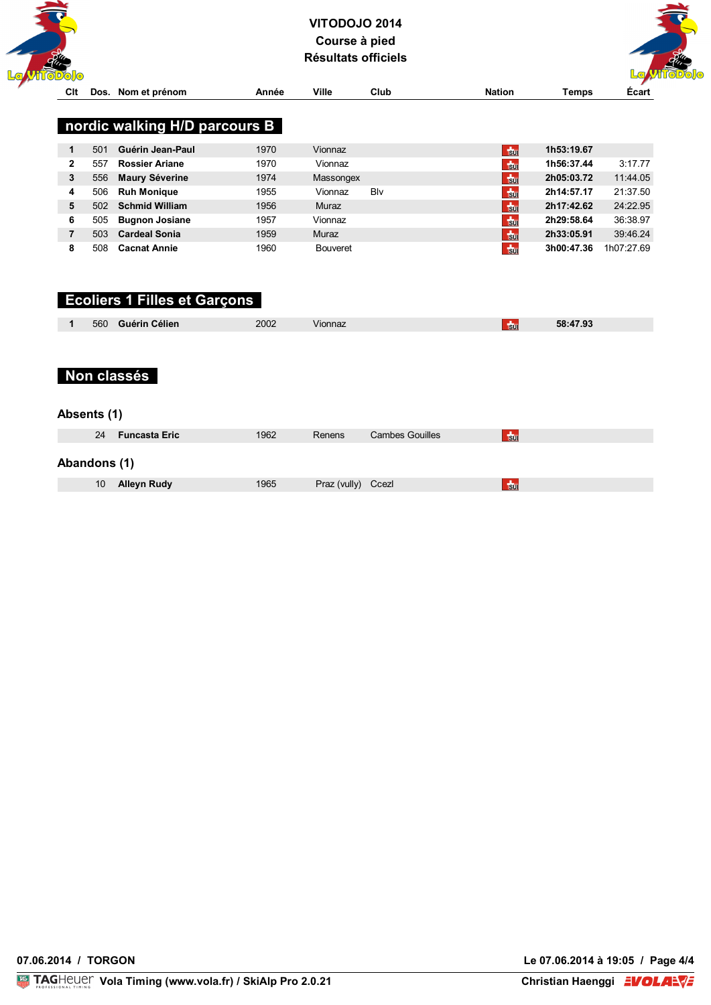



| ンシワン           |      |                               |       |                 |      |                |              |            |
|----------------|------|-------------------------------|-------|-----------------|------|----------------|--------------|------------|
| Cit            | Dos. | Nom et prénom                 | Année | <b>Ville</b>    | Club | <b>Nation</b>  | <b>Temps</b> | Écart      |
|                |      |                               |       |                 |      |                |              |            |
|                |      | nordic walking H/D parcours B |       |                 |      |                |              |            |
|                |      |                               |       |                 |      |                |              |            |
| 1              | 501  | Guérin Jean-Paul              | 1970  | Vionnaz         |      | $+50$          | 1h53:19.67   |            |
| $\overline{2}$ | 557  | <b>Rossier Ariane</b>         | 1970  | Vionnaz         |      | $\frac{1}{30}$ | 1h56:37.44   | 3:17.77    |
| 3              | 556  | <b>Maury Séverine</b>         | 1974  | Massongex       |      | $F_{\rm SM}$   | 2h05:03.72   | 11:44.05   |
| 4              | 506  | <b>Ruh Monique</b>            | 1955  | Vionnaz         | Blv  | $\frac{1}{2}$  | 2h14:57.17   | 21:37.50   |
| 5              | 502  | <b>Schmid William</b>         | 1956  | Muraz           |      | $F_{\rm SM}$   | 2h17:42.62   | 24:22.95   |
| 6              | 505  | <b>Bugnon Josiane</b>         | 1957  | Vionnaz         |      | $50$           | 2h29:58.64   | 36:38.97   |
| 7              | 503  | <b>Cardeal Sonia</b>          | 1959  | Muraz           |      | $F_{\rm SU}$   | 2h33:05.91   | 39:46.24   |
| 8              | 508  | <b>Cacnat Annie</b>           | 1960  | <b>Bouveret</b> |      | $\frac{1}{30}$ | 3h00:47.36   | 1h07:27.69 |
|                |      |                               |       |                 |      |                |              |            |
|                |      |                               |       |                 |      |                |              |            |

# **Ecoliers 1 Filles et Garçons**

| 58:47.93<br>2002<br>Guérin Célien<br>560<br>√ionnaz<br><b>SUI</b> |  |
|-------------------------------------------------------------------|--|

## **Non classés**

#### **Absents (1)**

| 24              | <b>Funcasta Eric</b> | 1962 | Renens             | <b>Cambes Gouilles</b> | $\frac{1}{20}$ |
|-----------------|----------------------|------|--------------------|------------------------|----------------|
| Abandons (1)    |                      |      |                    |                        |                |
| 10 <sup>°</sup> | Alleyn Rudy          | 1965 | Praz (vully) Ccezl |                        | $\frac{1}{20}$ |

**07.06.2014 / TORGON Le 07.06.2014 à 19:05 / Page 4/4**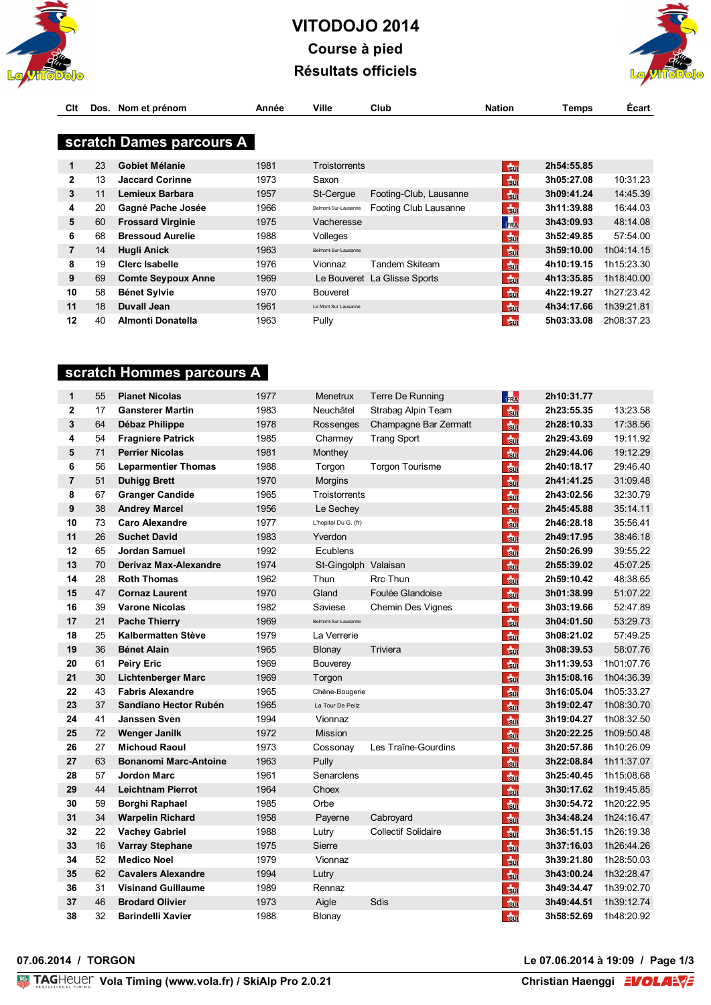



| Clt            |    | Dos. Nom et prénom        | Année | Ville                | Club                         | <b>Nation</b>  | Temps      | <b>Ecart</b> |
|----------------|----|---------------------------|-------|----------------------|------------------------------|----------------|------------|--------------|
|                |    |                           |       |                      |                              |                |            |              |
|                |    | scratch Dames parcours A  |       |                      |                              |                |            |              |
|                |    |                           |       |                      |                              |                |            |              |
| 1              | 23 | <b>Gobiet Mélanie</b>     | 1981  | Troistorrents        |                              | $+50$          | 2h54:55.85 |              |
| 2              | 13 | <b>Jaccard Corinne</b>    | 1973  | Saxon                |                              | $\frac{1}{30}$ | 3h05:27.08 | 10:31.23     |
| 3              | 11 | Lemieux Barbara           | 1957  | St-Cergue            | Footing-Club, Lausanne       | $F_{\rm BH}$   | 3h09:41.24 | 14:45.39     |
| 4              | 20 | Gagné Pache Josée         | 1966  | Belmont-Sur-Lausanne | Footing Club Lausanne        | $\frac{1}{2}$  | 3h11:39.88 | 16:44.03     |
| 5              | 60 | <b>Frossard Virginie</b>  | 1975  | Vacheresse           |                              | FRA            | 3h43:09.93 | 48:14.08     |
| 6              | 68 | <b>Bressoud Aurelie</b>   | 1988  | Volleges             |                              | $\frac{1}{2}$  | 3h52:49.85 | 57:54.00     |
| $\overline{7}$ | 14 | <b>Hugli Anick</b>        | 1963  | Belmont-Sur-Lausanne |                              | $50$           | 3h59:10.00 | 1h04:14.15   |
| 8              | 19 | Clerc Isabelle            | 1976  | Vionnaz              | Tandem Skiteam               | $\frac{1}{2}$  | 4h10:19.15 | 1h15:23.30   |
| 9              | 69 | <b>Comte Seypoux Anne</b> | 1969  |                      | Le Bouveret La Glisse Sports | $F_{\rm BH}$   | 4h13:35.85 | 1h18:40.00   |
| 10             | 58 | <b>Bénet Sylvie</b>       | 1970  | <b>Bouveret</b>      |                              | $\frac{1}{30}$ | 4h22:19.27 | 1h27:23.42   |
| 11             | 18 | Duvall Jean               | 1961  | Le Mont Sur Lausanne |                              | <b>Su</b>      | 4h34:17.66 | 1h39:21.81   |
| 12             | 40 | <b>Almonti Donatella</b>  | 1963  | Pully                |                              | $\frac{1}{30}$ | 5h03:33.08 | 2h08:37.23   |

## **scratch Hommes parcours A**

| $\mathbf{1}$   | 55 | <b>Pianet Nicolas</b>        | 1977 | Menetrux             | <b>Terre De Running</b>    | FRA            | 2h10:31.77 |            |
|----------------|----|------------------------------|------|----------------------|----------------------------|----------------|------------|------------|
| $\overline{2}$ | 17 | <b>Gansterer Martin</b>      | 1983 | Neuchâtel            | Strabag Alpin Team         | $\frac{1}{30}$ | 2h23:55.35 | 13:23.58   |
| 3              | 64 | Débaz Philippe               | 1978 | Rossenges            | Champagne Bar Zermatt      | $\frac{1}{20}$ | 2h28:10.33 | 17:38.56   |
| 4              | 54 | <b>Fragniere Patrick</b>     | 1985 | Charmey              | <b>Trang Sport</b>         | $\frac{1}{20}$ | 2h29:43.69 | 19:11.92   |
| 5              | 71 | <b>Perrier Nicolas</b>       | 1981 | Monthey              |                            | $\frac{1}{20}$ | 2h29:44.06 | 19:12.29   |
| 6              | 56 | <b>Leparmentier Thomas</b>   | 1988 | Torgon               | <b>Torgon Tourisme</b>     | $\frac{1}{20}$ | 2h40:18.17 | 29:46.40   |
| $\overline{7}$ | 51 | <b>Duhigg Brett</b>          | 1970 | <b>Morgins</b>       |                            | $\frac{1}{30}$ | 2h41:41.25 | 31:09.48   |
| 8              | 67 | <b>Granger Candide</b>       | 1965 | Troistorrents        |                            | $\frac{1}{2}$  | 2h43:02.56 | 32:30.79   |
| 9              | 38 | <b>Andrey Marcel</b>         | 1956 | Le Sechey            |                            | $\frac{1}{20}$ | 2h45:45.88 | 35:14.11   |
| 10             | 73 | <b>Caro Alexandre</b>        | 1977 | L'hopital Du G. (fr) |                            | $\frac{1}{20}$ | 2h46:28.18 | 35:56.41   |
| 11             | 26 | <b>Suchet David</b>          | 1983 | Yverdon              |                            | $\frac{1}{20}$ | 2h49:17.95 | 38:46.18   |
| 12             | 65 | Jordan Samuel                | 1992 | Ecublens             |                            | $\frac{1}{20}$ | 2h50:26.99 | 39:55.22   |
| 13             | 70 | <b>Derivaz Max-Alexandre</b> | 1974 | St-Gingolph Valaisan |                            | $50$           | 2h55:39.02 | 45:07.25   |
| 14             | 28 | <b>Roth Thomas</b>           | 1962 | Thun                 | <b>Rrc Thun</b>            | $50$           | 2h59:10.42 | 48:38.65   |
| 15             | 47 | <b>Cornaz Laurent</b>        | 1970 | Gland                | Foulée Glandoise           | $\frac{1}{2}$  | 3h01:38.99 | 51:07.22   |
| 16             | 39 | <b>Varone Nicolas</b>        | 1982 | Saviese              | Chemin Des Vignes          | $\frac{1}{30}$ | 3h03:19.66 | 52:47.89   |
| 17             | 21 | <b>Pache Thierry</b>         | 1969 | Belmont-Sur-Lausanne |                            | $\frac{1}{30}$ | 3h04:01.50 | 53:29.73   |
| 18             | 25 | <b>Kalbermatten Stève</b>    | 1979 | La Verrerie          |                            | $\frac{1}{30}$ | 3h08:21.02 | 57:49.25   |
| 19             | 36 | <b>Bénet Alain</b>           | 1965 | Blonay               | Triviera                   | $\frac{1}{2}$  | 3h08:39.53 | 58:07.76   |
| 20             | 61 | <b>Peiry Eric</b>            | 1969 | Bouverey             |                            | $\frac{1}{2}$  | 3h11:39.53 | 1h01:07.76 |
| 21             | 30 | <b>Lichtenberger Marc</b>    | 1969 | Torgon               |                            | $\frac{1}{2}$  | 3h15:08.16 | 1h04:36.39 |
| 22             | 43 | <b>Fabris Alexandre</b>      | 1965 | Chêne-Bougerie       |                            | $\frac{1}{20}$ | 3h16:05.04 | 1h05:33.27 |
| 23             | 37 | Sandiano Hector Rubén        | 1965 | La Tour De Peilz     |                            | $\frac{1}{2}$  | 3h19:02.47 | 1h08:30.70 |
| 24             | 41 | <b>Janssen Sven</b>          | 1994 | Vionnaz              |                            | $\frac{1}{2}$  | 3h19:04.27 | 1h08:32.50 |
| 25             | 72 | <b>Wenger Janilk</b>         | 1972 | <b>Mission</b>       |                            | $\frac{1}{2}$  | 3h20:22.25 | 1h09:50.48 |
| 26             | 27 | <b>Michoud Raoul</b>         | 1973 | Cossonay             | Les Traîne-Gourdins        | $\frac{1}{20}$ | 3h20:57.86 | 1h10:26.09 |
| 27             | 63 | <b>Bonanomi Marc-Antoine</b> | 1963 | Pully                |                            | $\frac{1}{20}$ | 3h22:08.84 | 1h11:37.07 |
| 28             | 57 | <b>Jordon Marc</b>           | 1961 | Senarclens           |                            | $\frac{1}{30}$ | 3h25:40.45 | 1h15:08.68 |
| 29             | 44 | <b>Leichtnam Pierrot</b>     | 1964 | Choex                |                            | $\frac{1}{20}$ | 3h30:17.62 | 1h19:45.85 |
| 30             | 59 | <b>Borghi Raphael</b>        | 1985 | Orbe                 |                            | $\frac{1}{30}$ | 3h30:54.72 | 1h20:22.95 |
| 31             | 34 | <b>Warpelin Richard</b>      | 1958 | Payerne              | Cabroyard                  | $\frac{1}{20}$ | 3h34:48.24 | 1h24:16.47 |
| 32             | 22 | <b>Vachey Gabriel</b>        | 1988 | Lutry                | <b>Collectif Solidaire</b> | $\frac{1}{2}$  | 3h36:51.15 | 1h26:19.38 |
| 33             | 16 | <b>Varray Stephane</b>       | 1975 | <b>Sierre</b>        |                            | $\frac{1}{20}$ | 3h37:16.03 | 1h26:44.26 |
| 34             | 52 | <b>Medico Noel</b>           | 1979 | Vionnaz              |                            | $\frac{1}{20}$ | 3h39:21.80 | 1h28:50.03 |
| 35             | 62 | <b>Cavalers Alexandre</b>    | 1994 | Lutry                |                            | $\frac{1}{30}$ | 3h43:00.24 | 1h32:28.47 |
| 36             | 31 | <b>Visinand Guillaume</b>    | 1989 | Rennaz               |                            | $\frac{1}{20}$ | 3h49:34.47 | 1h39:02.70 |
| 37             | 46 | <b>Brodard Olivier</b>       | 1973 | Aigle                | Sdis                       | $\frac{1}{2}$  | 3h49:44.51 | 1h39:12.74 |
| 38             | 32 | <b>Barindelli Xavier</b>     | 1988 | Blonay               |                            | $\frac{1}{20}$ | 3h58:52.69 | 1h48:20.92 |

**07.06.2014 / TORGON Le 07.06.2014 à 19:09 / Page 1/3**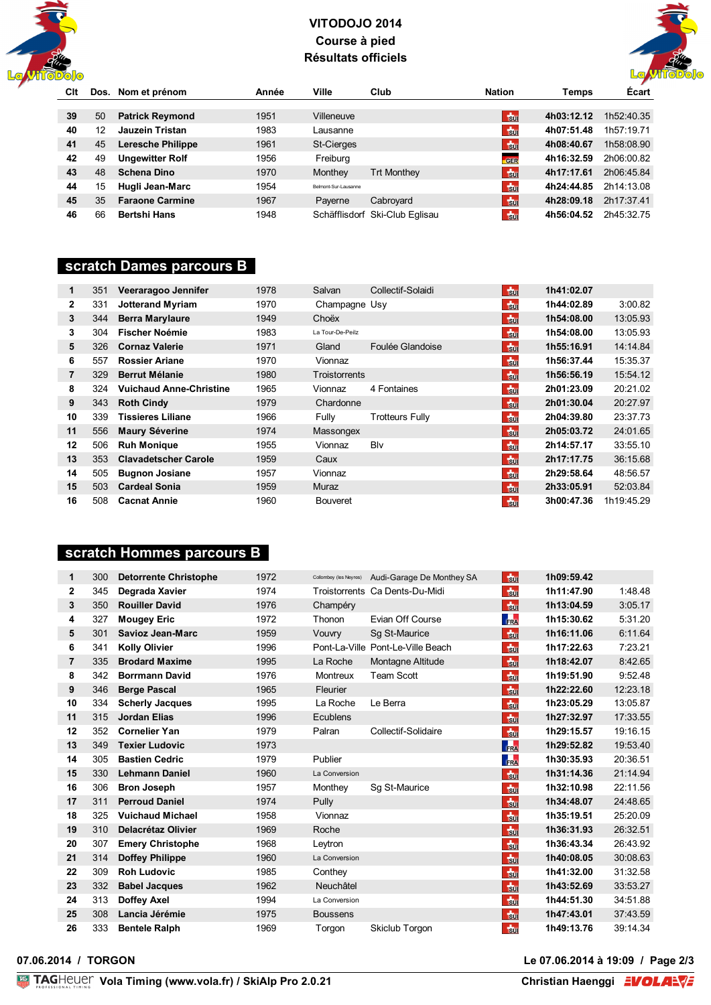



| Clt |    | Dos. Nom et prénom       | Année | Ville                | Club                           | <b>Nation</b>  | Temps      | <b>Ecart</b> |
|-----|----|--------------------------|-------|----------------------|--------------------------------|----------------|------------|--------------|
|     |    |                          |       |                      |                                |                |            |              |
| 39  | 50 | <b>Patrick Reymond</b>   | 1951  | Villeneuve           |                                | $\frac{1}{30}$ | 4h03:12.12 | 1h52:40.35   |
| 40  | 12 | Jauzein Tristan          | 1983  | Lausanne             |                                | $\frac{1}{30}$ | 4h07:51.48 | 1h57:19.71   |
| 41  | 45 | <b>Leresche Philippe</b> | 1961  | St-Cierges           |                                | $\frac{1}{30}$ | 4h08:40.67 | 1h58:08.90   |
| 42  | 49 | <b>Ungewitter Rolf</b>   | 1956  | Freiburg             |                                | GER            | 4h16:32.59 | 2h06:00.82   |
| 43  | 48 | <b>Schena Dino</b>       | 1970  | Monthey              | <b>Trt Monthey</b>             | $\frac{1}{30}$ | 4h17:17.61 | 2h06:45.84   |
| 44  | 15 | Hugli Jean-Marc          | 1954  | Belmont-Sur-Lausanne |                                | $\frac{1}{30}$ | 4h24:44.85 | 2h14:13.08   |
| 45  | 35 | <b>Faraone Carmine</b>   | 1967  | Payerne              | Cabroyard                      | $F_{\rm BH}$   | 4h28:09.18 | 2h17:37.41   |
| 46  | 66 | <b>Bertshi Hans</b>      | 1948  |                      | Schäfflisdorf Ski-Club Eglisau | $\frac{1}{20}$ | 4h56:04.52 | 2h45:32.75   |

#### **scratch Dames parcours B**

| $\mathbf 1$    | 351 | Veeraragoo Jennifer            | 1978 | Salvan               | Collectif-Solaidi      | <b>F</b> <sub>Sul</sub> | 1h41:02.07 |            |
|----------------|-----|--------------------------------|------|----------------------|------------------------|-------------------------|------------|------------|
| $\mathbf{2}$   | 331 | <b>Jotterand Myriam</b>        | 1970 | Champagne Usy        |                        | <b>Sur</b>              | 1h44:02.89 | 3:00.82    |
| 3              | 344 | <b>Berra Marylaure</b>         | 1949 | Choëx                |                        | <b>Sul</b>              | 1h54:08.00 | 13:05.93   |
| 3              | 304 | Fischer Noémie                 | 1983 | La Tour-De-Peilz     |                        | $50$                    | 1h54:08.00 | 13:05.93   |
| 5              | 326 | <b>Cornaz Valerie</b>          | 1971 | Gland                | Foulée Glandoise       | <b>Sul</b>              | 1h55:16.91 | 14:14.84   |
| 6              | 557 | <b>Rossier Ariane</b>          | 1970 | Vionnaz              |                        | <b>Sur</b>              | 1h56:37.44 | 15:35.37   |
| $\overline{7}$ | 329 | <b>Berrut Mélanie</b>          | 1980 | <b>Troistorrents</b> |                        | <b>Sul</b>              | 1h56:56.19 | 15:54.12   |
| 8              | 324 | <b>Vuichaud Anne-Christine</b> | 1965 | Vionnaz              | 4 Fontaines            | $\frac{1}{30}$          | 2h01:23.09 | 20:21.02   |
| 9              | 343 | <b>Roth Cindy</b>              | 1979 | Chardonne            |                        | <b>Sul</b>              | 2h01:30.04 | 20:27.97   |
| 10             | 339 | <b>Tissieres Liliane</b>       | 1966 | Fully                | <b>Trotteurs Fully</b> | $\frac{1}{30}$          | 2h04:39.80 | 23:37.73   |
| 11             | 556 | <b>Maury Séverine</b>          | 1974 | Massongex            |                        | <b>Sul</b>              | 2h05:03.72 | 24:01.65   |
| 12             | 506 | <b>Ruh Monique</b>             | 1955 | Vionnaz              | Blv                    | $\frac{1}{30}$          | 2h14:57.17 | 33:55.10   |
| 13             | 353 | <b>Clavadetscher Carole</b>    | 1959 | Caux                 |                        | <b>F</b> <sub>Sul</sub> | 2h17:17.75 | 36:15.68   |
| 14             | 505 | <b>Bugnon Josiane</b>          | 1957 | Vionnaz              |                        | <b>Sur</b>              | 2h29:58.64 | 48:56.57   |
| 15             | 503 | <b>Cardeal Sonia</b>           | 1959 | Muraz                |                        | <b>Sul</b>              | 2h33:05.91 | 52:03.84   |
| 16             | 508 | <b>Cacnat Annie</b>            | 1960 | <b>Bouveret</b>      |                        | <b>Sur</b>              | 3h00:47.36 | 1h19:45.29 |

### **scratch Hommes parcours B**

| 1              | 300 | <b>Detorrente Christophe</b> | 1972 | Collombey (les Neyres) | Audi-Garage De Monthey SA         | $\frac{1}{30}$ | 1h09:59.42 |          |
|----------------|-----|------------------------------|------|------------------------|-----------------------------------|----------------|------------|----------|
| 2              | 345 | Degrada Xavier               | 1974 |                        | Troistorrents Ca Dents-Du-Midi    | $\frac{1}{30}$ | 1h11:47.90 | 1:48.48  |
| 3              | 350 | <b>Rouiller David</b>        | 1976 | Champéry               |                                   | $\frac{1}{30}$ | 1h13:04.59 | 3:05.17  |
| 4              | 327 | <b>Mougey Eric</b>           | 1972 | Thonon                 | Evian Off Course                  | <b>FRA</b>     | 1h15:30.62 | 5:31.20  |
| 5              | 301 | <b>Savioz Jean-Marc</b>      | 1959 | Vouvry                 | Sq St-Maurice                     | $\frac{1}{30}$ | 1h16:11.06 | 6:11.64  |
| 6              | 341 | <b>Kolly Olivier</b>         | 1996 |                        | Pont-La-Ville Pont-Le-Ville Beach | $\frac{1}{30}$ | 1h17:22.63 | 7:23.21  |
| $\overline{7}$ | 335 | <b>Brodard Maxime</b>        | 1995 | La Roche               | Montagne Altitude                 | $\frac{1}{30}$ | 1h18:42.07 | 8:42.65  |
| 8              | 342 | <b>Borrmann David</b>        | 1976 | <b>Montreux</b>        | <b>Team Scott</b>                 | $\frac{1}{30}$ | 1h19:51.90 | 9:52.48  |
| 9              | 346 | <b>Berge Pascal</b>          | 1965 | Fleurier               |                                   | $\frac{1}{2}$  | 1h22:22.60 | 12:23.18 |
| 10             | 334 | <b>Scherly Jacques</b>       | 1995 | La Roche               | Le Berra                          | $\frac{1}{30}$ | 1h23:05.29 | 13:05.87 |
| 11             | 315 | <b>Jordan Elias</b>          | 1996 | Ecublens               |                                   | $\frac{1}{30}$ | 1h27:32.97 | 17:33.55 |
| 12             | 352 | <b>Cornelier Yan</b>         | 1979 | Palran                 | Collectif-Solidaire               | $\frac{1}{30}$ | 1h29:15.57 | 19:16.15 |
| 13             | 349 | <b>Texier Ludovic</b>        | 1973 |                        |                                   | FRA            | 1h29:52.82 | 19:53.40 |
| 14             | 305 | <b>Bastien Cedric</b>        | 1979 | Publier                |                                   | FRA            | 1h30:35.93 | 20:36.51 |
| 15             | 330 | <b>Lehmann Daniel</b>        | 1960 | La Conversion          |                                   | $\frac{1}{30}$ | 1h31:14.36 | 21:14.94 |
| 16             | 306 | <b>Bron Joseph</b>           | 1957 | Monthey                | Sg St-Maurice                     | $\frac{1}{30}$ | 1h32:10.98 | 22:11.56 |
| 17             | 311 | <b>Perroud Daniel</b>        | 1974 | Pully                  |                                   | $t_{\rm 50}$   | 1h34:48.07 | 24:48.65 |
| 18             | 325 | <b>Vuichaud Michael</b>      | 1958 | Vionnaz                |                                   | $\frac{1}{30}$ | 1h35:19.51 | 25:20.09 |
| 19             | 310 | Delacrétaz Olivier           | 1969 | Roche                  |                                   | $\frac{1}{20}$ | 1h36:31.93 | 26:32.51 |
| 20             | 307 | <b>Emery Christophe</b>      | 1968 | Leytron                |                                   | $\frac{1}{30}$ | 1h36:43.34 | 26:43.92 |
| 21             | 314 | <b>Doffey Philippe</b>       | 1960 | La Conversion          |                                   | $\frac{1}{30}$ | 1h40:08.05 | 30:08.63 |
| 22             | 309 | <b>Roh Ludovic</b>           | 1985 | Conthey                |                                   | $\frac{1}{30}$ | 1h41:32.00 | 31:32.58 |
| 23             | 332 | <b>Babel Jacques</b>         | 1962 | Neuchâtel              |                                   | $\frac{1}{2}$  | 1h43:52.69 | 33:53.27 |
| 24             | 313 | <b>Doffey Axel</b>           | 1994 | La Conversion          |                                   | $t_{\rm 50}$   | 1h44:51.30 | 34:51.88 |
| 25             | 308 | Lancia Jérémie               | 1975 | <b>Boussens</b>        |                                   | $\frac{1}{30}$ | 1h47:43.01 | 37:43.59 |
| 26             | 333 | <b>Bentele Ralph</b>         | 1969 | Torgon                 | Skiclub Torgon                    | $\frac{1}{30}$ | 1h49:13.76 | 39:14.34 |

**07.06.2014 / TORGON Le 07.06.2014 à 19:09 / Page 2/3**